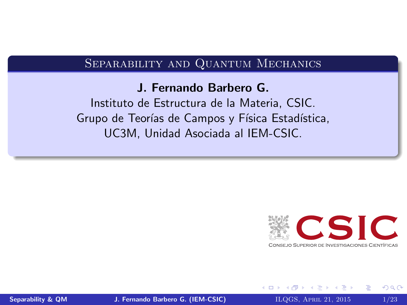#### <span id="page-0-0"></span>Separability and Quantum Mechanics

#### J. Fernando Barbero G.

Instituto de Estructura de la Materia, CSIC. Grupo de Teorías de Campos y Física Estadística, UC3M, Unidad Asociada al IEM-CSIC.



[Separability & QM](#page-22-0) J. Fernando Barbero G. (IEM-CSIC) BLOGS, APRIL 21, 2015 1/23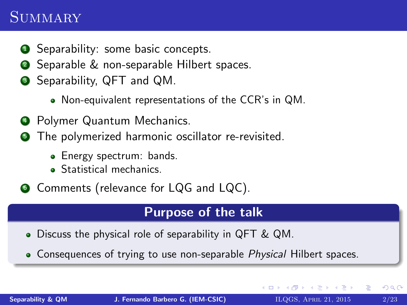### **SUMMARY**

- **1** Separability: some basic concepts.
- **2** Separable & non-separable Hilbert spaces.
- **3** Separability, QFT and QM.
	- Non-equivalent representations of the CCR's in QM.
- <sup>4</sup> Polymer Quantum Mechanics.
- **The polymerized harmonic oscillator re-revisited.** 
	- Energy spectrum: bands.
	- **•** Statistical mechanics.

**<sup>6</sup>** Comments (relevance for LQG and LQC).

#### Purpose of the talk

- Discuss the physical role of separability in QFT & QM.
- Consequences of trying to use non-separable Physical Hilbert spaces.

K 御 ▶ K 唐 ▶ K 唐 ▶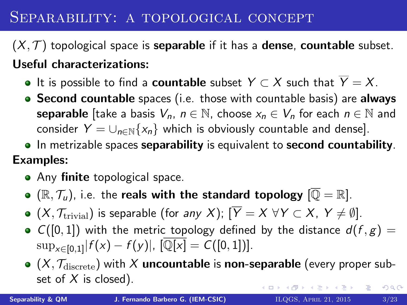### SEPARABILITY: A TOPOLOGICAL CONCEPT

 $(X, \mathcal{T})$  topological space is **separable** if it has a **dense, countable** subset. Useful characterizations:

- $\bullet$  It is possible to find a **countable** subset  $Y \subset X$  such that  $\overline{Y} = X$ .
- **Second countable** spaces (i.e. those with countable basis) are always **separable** [take a basis  $V_n$ ,  $n \in \mathbb{N}$ , choose  $x_n \in V_n$  for each  $n \in \mathbb{N}$  and consider  $Y = \bigcup_{n \in \mathbb{N}} \{x_n\}$  which is obviously countable and dense].
- In metrizable spaces separability is equivalent to second countability. Examples:
	- Any finite topological space.
	- $\bullet$  ( $\mathbb{R}, \mathcal{T}_u$ ), i.e. the reals with the standard topology  $[\overline{\mathbb{Q}} = \mathbb{R}]$ .
	- $\bullet$  (X,  $\mathcal{T}_{\text{trivial}}$ ) is separable (for any X);  $[\overline{Y} = X \ \forall Y \subset X, Y \neq \emptyset]$ .
	- $C([0, 1])$  with the metric topology defined by the distance  $d(f, g) =$  $\sup_{x \in [0,1]} |f(x) - f(y)|, [\overline{\mathbb{Q}[x]} = C([0,1])].$
	- $\bullet$  (X,  $\mathcal{T}_{discrete}$ ) with X uncountable is non-separable (every proper subset of  $X$  is closed). K ロ X K 御 X K 差 X K 差 X … 差  $2Q$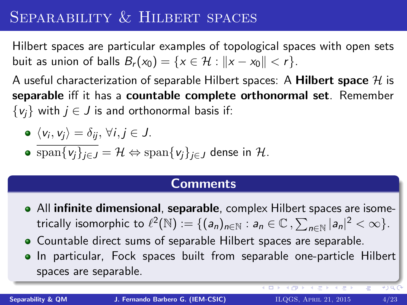## SEPARABILITY & HILBERT SPACES

Hilbert spaces are particular examples of topological spaces with open sets buit as union of balls  $B_r(x_0) = \{x \in \mathcal{H} : ||x - x_0|| < r\}.$ 

A useful characterization of separable Hilbert spaces: A Hilbert space  $\mathcal H$  is separable iff it has a countable complete orthonormal set. Remember  $\{v_i\}$  with  $j \in J$  is and orthonormal basis if:

$$
\bullet \ \langle v_i, v_j \rangle = \delta_{ij}, \ \forall i, j \in J.
$$

• 
$$
\overline{\operatorname{span}\{v_j\}_{j\in J}} = \mathcal{H} \Leftrightarrow \operatorname{span}\{v_j\}_{j\in J} \text{ dense in } \mathcal{H}.
$$

#### **Comments**

- All infinite dimensional, separable, complex Hilbert spaces are isometrically isomorphic to  $\ell^2(\mathbb{N}) := \{ (a_n)_{n \in \mathbb{N}} : a_n \in \mathbb{C} \, , \sum_{n \in \mathbb{N}} |a_n|^2 < \infty \}.$
- Countable direct sums of separable Hilbert spaces are separable.
- In particular, Fock spaces built from separable one-particle Hilbert spaces are separable.

 $-$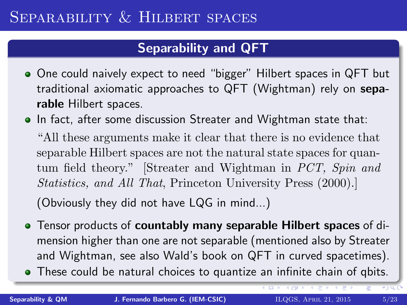#### Separability and QFT

- One could naively expect to need "bigger" Hilbert spaces in QFT but traditional axiomatic approaches to QFT (Wightman) rely on separable Hilbert spaces.
- In fact, after some discussion Streater and Wightman state that: "All these arguments make it clear that there is no evidence that separable Hilbert spaces are not the natural state spaces for quantum field theory." [Streater and Wightman in PCT, Spin and Statistics, and All That, Princeton University Press (2000).] (Obviously they did not have LQG in mind...)
- Tensor products of **countably many separable Hilbert spaces** of dimension higher than one are not separable (mentioned also by Streater and Wightman, see also Wald's book on QFT in curved spacetimes).
- These could be natural choices to quantize an infinite chain of qbits.

大量下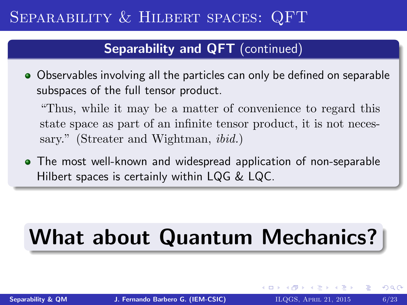## Separability & Hilbert spaces: QFT

#### Separability and QFT (continued)

Observables involving all the particles can only be defined on separable subspaces of the full tensor product.

"Thus, while it may be a matter of convenience to regard this state space as part of an infinite tensor product, it is not necessary." (Streater and Wightman, *ibid.*)

The most well-known and widespread application of non-separable Hilbert spaces is certainly within LQG & LQC.

# What about Quantum Mechanics?

 $\Omega$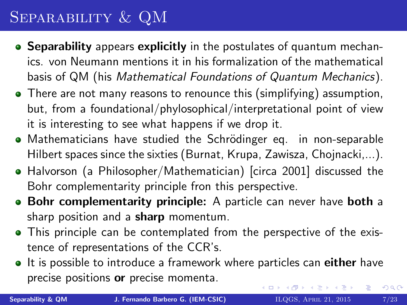# Separability & QM

- Separability appears explicitly in the postulates of quantum mechanics. von Neumann mentions it in his formalization of the mathematical basis of QM (his Mathematical Foundations of Quantum Mechanics).
- There are not many reasons to renounce this (simplifying) assumption, but, from a foundational/phylosophical/interpretational point of view it is interesting to see what happens if we drop it.
- Mathematicians have studied the Schrödinger eq. in non-separable Hilbert spaces since the sixties (Burnat, Krupa, Zawisza, Chojnacki,...).
- Halvorson (a Philosopher/Mathematician) [circa 2001] discussed the Bohr complementarity principle fron this perspective.
- Bohr complementarity principle: A particle can never have both a sharp position and a **sharp** momentum.
- This principle can be contemplated from the perspective of the existence of representations of the CCR's.
- It is possible to introduce a framework where particles can either have precise positions or precise momenta. イロメ イ母メ イヨメ イヨメー  $\equiv$  $290$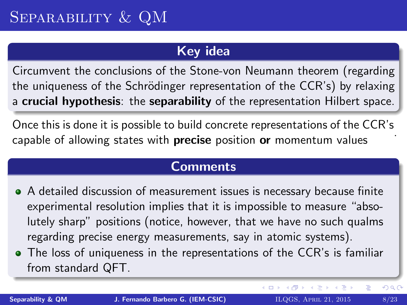#### Key idea

Circumvent the conclusions of the Stone-von Neumann theorem (regarding the uniqueness of the Schrödinger representation of the CCR's) by relaxing a crucial hypothesis: the separability of the representation Hilbert space.

Once this is done it is possible to build concrete representations of the CCR's capable of allowing states with **precise** position or momentum values

#### **Comments**

- A detailed discussion of measurement issues is necessary because finite experimental resolution implies that it is impossible to measure "absolutely sharp" positions (notice, however, that we have no such qualms regarding precise energy measurements, say in atomic systems).
- The loss of uniqueness in the representations of the CCR's is familiar from standard QFT.

重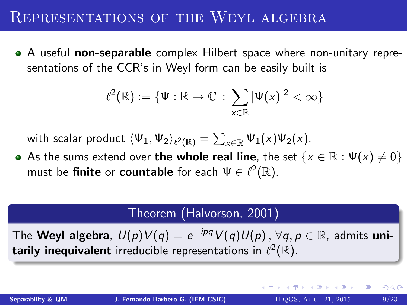#### REPRESENTATIONS OF THE WEYL ALGEBRA

• A useful non-separable complex Hilbert space where non-unitary representations of the CCR's in Weyl form can be easily built is

$$
\ell^2(\mathbb{R}) := \{ \Psi : \mathbb{R} \to \mathbb{C} \, : \, \sum_{x \in \mathbb{R}} |\Psi(x)|^2 < \infty \}
$$

with scalar product  $\langle \Psi_1, \Psi_2 \rangle_{\ell^2(\mathbb{R})} = \sum_{\mathsf{x} \in \mathbb{R}} \Psi_1(\mathsf{x}) \Psi_2(\mathsf{x}).$ 

As the sums extend over the whole real line, the set  $\{x \in \mathbb{R} : \Psi(x) \neq 0\}$ must be finite or countable for each  $\Psi \in \ell^2(\mathbb{R})$ .

#### Theorem (Halvorson, 2001)

The **Weyl algebra**,  $U(p)V(q) = e^{-ipq}V(q)U(p)$  ,  $\forall q, p \in \mathbb{R}$ , admits unitarily inequivalent irreducible representations in  $\ell^2(\mathbb{R})$ .

 $2Q$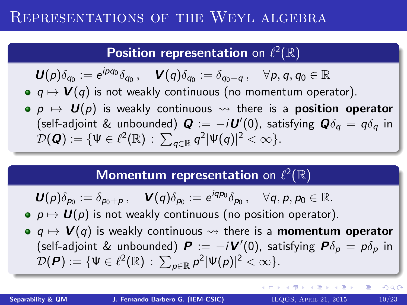### Representations of the Weyl algebra

### Position representation on  $\ell^2(\mathbb{R})$

$$
\boldsymbol{U}(\rho)\delta_{q_0}:=e^{ipq_0}\delta_{q_0}\,,\quad \boldsymbol{V}(\boldsymbol{q})\delta_{q_0}:=\delta_{q_0-q}\,,\quad \forall \rho,\boldsymbol{q},\boldsymbol{q}_0\in\mathbb{R}
$$

- $q \mapsto V(q)$  is not weakly continuous (no momentum operator).
- $p \mapsto U(p)$  is weakly continuous  $\rightsquigarrow$  there is a **position operator** (self-adjoint & unbounded)  $\bm{Q} := -i \bm{U}'(0)$ , satisfying  $\bm{Q} \delta_{\bm{q}} = q \delta_{\bm{q}}$  in  $\mathcal{D}(\boldsymbol{Q}) := \{ \Psi \in \ell^2(\mathbb{R}) \, : \, \sum_{\boldsymbol{q} \in \mathbb{R}} \boldsymbol{q}^2 |\Psi(\boldsymbol{q})|^2 < \infty \}.$

### Momentum representation on  $\ell^2(\mathbb{R})$

$$
\boldsymbol{U}(\rho)\delta_{\rho_0}:=\delta_{\rho_0+\rho}\,,\quad \boldsymbol{V}(\boldsymbol{q})\delta_{\rho_0}:=e^{i\boldsymbol{q}\rho_0}\delta_{\rho_0}\,,\quad \forall \boldsymbol{q},\boldsymbol{p},\boldsymbol{p}_0\in\mathbb{R}.
$$

- $p \mapsto U(p)$  is not weakly continuous (no position operator).
- $q \mapsto V(q)$  is weakly continuous  $\rightsquigarrow$  there is a **momentum operator** (self-adjoint & unbounded)  $\bm{P} := -i \bm{V}'(0)$ , satisfying  $\bm{P} \delta_{\bm{p}} = p \delta_{\bm{p}}$  in  $\mathcal{D}(\boldsymbol{P}) := \{ \Psi \in \ell^2(\mathbb{R}) \, : \, \sum_{\boldsymbol{p} \in \mathbb{R}} \rho^2 |\Psi(\boldsymbol{p})|^2 < \infty \}.$

イロメ イ団 メイミメ イモメー ヨー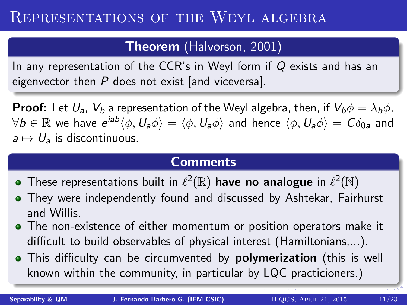#### Theorem (Halvorson, 2001)

In any representation of the CCR's in Weyl form if Q exists and has an eigenvector then  $P$  does not exist [and viceversa].

**Proof:** Let  $U_a$ ,  $V_b$  a representation of the Weyl algebra, then, if  $V_b\phi = \lambda_b\phi$ ,  $\forall b\in\mathbb{R}$  we have  $e^{iab}\langle\phi,U_a\phi\rangle=\langle\phi,U_a\phi\rangle$  and hence  $\langle\phi,U_a\phi\rangle=C\delta_{0a}$  and  $a \mapsto U_a$  is discontinuous.

#### **Comments**

- These representations built in  $\ell^2(\mathbb{R})$  have no analogue in  $\ell^2(\mathbb{N})$
- They were independently found and discussed by Ashtekar, Fairhurst and Willis.
- The non-existence of either momentum or position operators make it difficult to build observables of physical interest (Hamiltonians,...).
- This difficulty can be circumvented by **polymerization** (this is well known within the community, in particular by LQC practicioners.)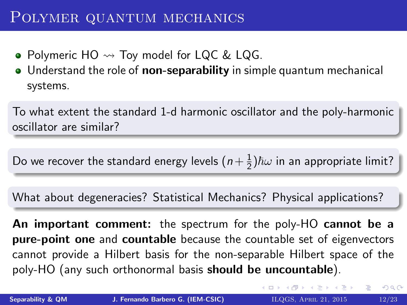#### POLYMER QUANTUM MECHANICS

- Polymeric  $HO \rightarrow Two$  Toy model for LQC & LQG.
- Understand the role of **non-separability** in simple quantum mechanical systems.

To what extent the standard 1-d harmonic oscillator and the poly-harmonic oscillator are similar?

Do we recover the standard energy levels  $\left(n+\frac{1}{2}\right)$  $\frac{1}{2}$ ) $\hbar\omega$  in an appropriate limit?

What about degeneracies? Statistical Mechanics? Physical applications?

An important comment: the spectrum for the poly-HO cannot be a pure-point one and countable because the countable set of eigenvectors cannot provide a Hilbert basis for the non-separable Hilbert space of the poly-HO (any such orthonormal basis should be uncountable).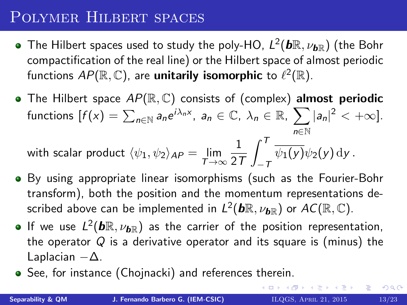### Polymer Hilbert spaces

- The Hilbert spaces used to study the poly-HO,  $\mathit{L}^2(\pmb{b}\mathbb{R},\nu_{\pmb{b}\mathbb{R}})$  (the Bohr compactification of the real line) or the Hilbert space of almost periodic functions  $AP(\mathbb{R}, \mathbb{C})$ , are **unitarily isomorphic** to  $\ell^2(\mathbb{R})$ .
- The Hilbert space  $AP(\mathbb{R}, \mathbb{C})$  consists of (complex) almost periodic functions  $[f(x)] = \sum_{n \in \mathbb{N}} a_n e^{i\lambda_n x}, a_n \in \mathbb{C}, \lambda_n \in \mathbb{R}, \sum |a_n|^2 < +\infty$ . n∈N with scalar product  $\langle \psi_1, \psi_2 \rangle_{AP} = \lim\limits_{\mathcal{T} \rightarrow \infty}$ 1 2T  $\int_0^T$  $-T$  $\psi_1(y)\psi_2(y)$  dy.
- By using appropriate linear isomorphisms (such as the Fourier-Bohr transform), both the position and the momentum representations described above can be implemented in  $L^2(\bm{b}\mathbb{R},\nu_{\bm{b}\mathbb{R}})$  or  $AC(\mathbb{R},\mathbb{C}).$
- If we use  $L^2(\mathbf{b}\mathbb{R},\nu_{\mathbf{b}\mathbb{R}})$  as the carrier of the position representation, the operator  $Q$  is a derivative operator and its square is (minus) the Laplacian  $-\Delta$ .
- See, for instance (Chojnacki) and references therein.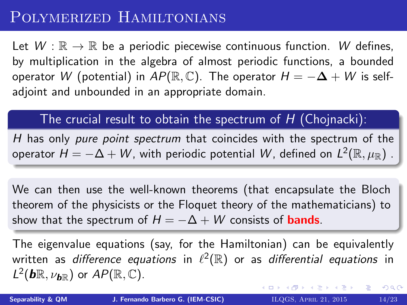### POLYMERIZED HAMILTONIANS

Let  $W : \mathbb{R} \to \mathbb{R}$  be a periodic piecewise continuous function. W defines, by multiplication in the algebra of almost periodic functions, a bounded operator W (potential) in  $AP(\mathbb{R}, \mathbb{C})$ . The operator  $H = -\Delta + W$  is selfadjoint and unbounded in an appropriate domain.

The crucial result to obtain the spectrum of  $H$  (Chojnacki):

H has only *pure point spectrum* that coincides with the spectrum of the operator  $H=-\Delta+W$ , with periodic potential  $W$ , defined on  $L^2(\mathbb{R},\mu_\mathbb{R})$  .

We can then use the well-known theorems (that encapsulate the Bloch theorem of the physicists or the Floquet theory of the mathematicians) to show that the spectrum of  $H = -\Delta + W$  consists of **bands**.

The eigenvalue equations (say, for the Hamiltonian) can be equivalently written as difference equations in  $\ell^2(\mathbb{R})$  or as differential equations in  $L^2(\mathbf{b}\mathbb{R},\nu_{\mathbf{b}\mathbb{R}})$  or  $AP(\mathbb{R},\mathbb{C})$ . メロメ メ団 メメ きょくきょう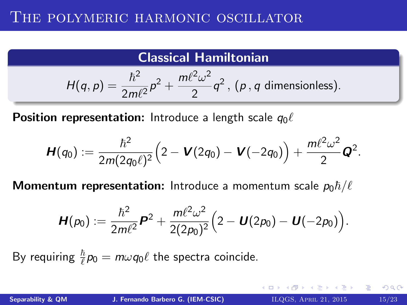#### THE POLYMERIC HARMONIC OSCILLATOR

#### Classical Hamiltonian

$$
H(q,p) = \frac{\hbar^2}{2m\ell^2}p^2 + \frac{m\ell^2\omega^2}{2}q^2
$$
, (*p*, *q* dimensionless).

**Position representation:** Introduce a length scale  $q_0\ell$ 

$$
\boldsymbol{H}(q_0) := \frac{\hbar^2}{2m(2q_0\ell)^2} \Big( 2 - \boldsymbol{V}(2q_0) - \boldsymbol{V}(-2q_0) \Big) + \frac{m\ell^2\omega^2}{2} \boldsymbol{Q}^2.
$$

**Momentum representation:** Introduce a momentum scale  $p_0 \hbar/\ell$ 

$$
\boldsymbol{H}(p_0) := \frac{\hbar^2}{2m\ell^2}\boldsymbol{P}^2 + \frac{m\ell^2\omega^2}{2(2p_0)^2}\Big(2-\boldsymbol{U}(2p_0)-\boldsymbol{U}(-2p_0)\Big).
$$

By requiring  $\frac{\hbar}{\ell} p_0 = m \omega q_0 \ell$  the spectra coincide.

メ団 トメ ミ トメ ミ トー

 $2Q$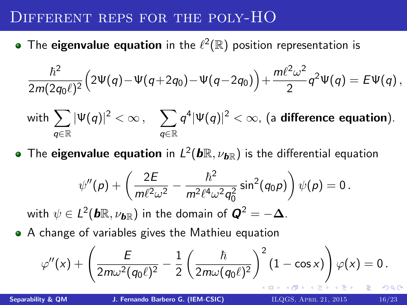### Different reps for the poly-HO

The eigenvalue equation in the  $\ell^2(\mathbb{R})$  position representation is

$$
\frac{\hbar^2}{2m(2q_0\ell)^2}\Big(2\Psi(q)-\Psi(q+2q_0)-\Psi(q-2q_0)\Big)+\frac{m\ell^2\omega^2}{2}q^2\Psi(q)=E\Psi(q)\,,
$$

with 
$$
\sum_{q \in \mathbb{R}} |\Psi(q)|^2 < \infty
$$
,  $\sum_{q \in \mathbb{R}} q^4 |\Psi(q)|^2 < \infty$ , (a difference equation).

The  $\boldsymbol{\mathsf{e}}$ igenvalue equation in  $L^2(\boldsymbol{b}\mathbb{R},\nu_{\boldsymbol{b}\mathbb{R}})$  is the differential equation

$$
\psi''(p) + \left(\frac{2E}{m\ell^2\omega^2} - \frac{\hbar^2}{m^2\ell^4\omega^2q_0^2}\sin^2(q_0p)\right)\psi(p) = 0.
$$

with  $\psi \in L^2(\pmb b\mathbb{R},\nu_{\pmb b\mathbb{R}})$  in the domain of  $\pmb Q^2=-\pmb \Delta.$ 

A change of variables gives the Mathieu equation

$$
\varphi''(x)+\left(\frac{E}{2m\omega^2(q_0\ell)^2}-\frac{1}{2}\left(\frac{\hbar}{2m\omega(q_0\ell)^2}\right)^2(1-\cos x)\right)\varphi(x)=0.
$$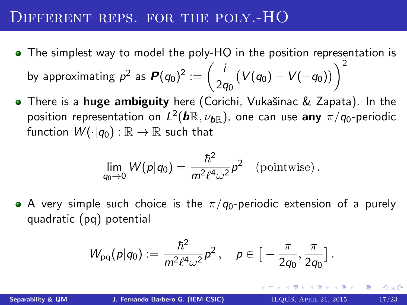#### DIFFERENT REPS. FOR THE POLY.-HO

- The simplest way to model the poly-HO in the position representation is by approximating  $p^2$  as  $\boldsymbol{P}(q_0)^2 := \left(\frac{p}{2}\right)^2$ 2q<sup>0</sup>  $(V(q_0) - V(-q_0))\bigg)^2$
- **•** There is a **huge ambiguity** here (Corichi, Vukašinac & Zapata). In the position representation on  $L^2(\bm{b}\mathbb{R},\nu_{\bm{b}\mathbb{R}})$ , one can use  $\bm{a}$ ny  $\pi/q_0$ -periodic function  $W(\cdot|q_0): \mathbb{R} \to \mathbb{R}$  such that

$$
\lim_{q_0 \to 0} W(p|q_0) = \frac{\hbar^2}{m^2 \ell^4 \omega^2} p^2 \quad \text{(pointwise)}.
$$

A very simple such choice is the  $\pi/q_0$ -periodic extension of a purely quadratic (pq) potential

$$
W_{\mathrm{pq}}(\rho|q_0) := \frac{\hbar^2}{m^2 \ell^4 \omega^2} \rho^2 \,, \quad \rho \in \big[-\frac{\pi}{2q_0}, \frac{\pi}{2q_0}\big] \,.
$$

K 御 ▶ K 唐 ▶ K 唐 ▶ …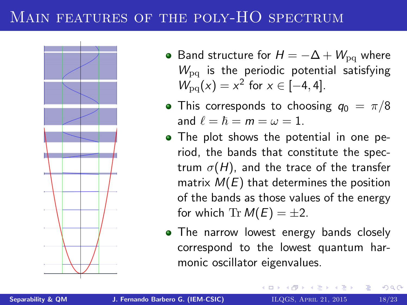### MAIN FEATURES OF THE POLY-HO SPECTRUM



- Band structure for  $H = -\Delta + W_{\text{pq}}$  where  $W_{\text{pa}}$  is the periodic potential satisfying  $W_{pq}(x) = x^2$  for  $x \in [-4, 4]$ .
- This corresponds to choosing  $q_0 = \pi/8$ and  $\ell = \hbar = m = \omega = 1$ .
- The plot shows the potential in one period, the bands that constitute the spectrum  $\sigma(H)$ , and the trace of the transfer matrix  $M(E)$  that determines the position of the bands as those values of the energy for which Tr  $M(E) = \pm 2$ .
- The narrow lowest energy bands closely correspond to the lowest quantum harmonic oscillator eigenvalues.

メタメ メミメ メミメ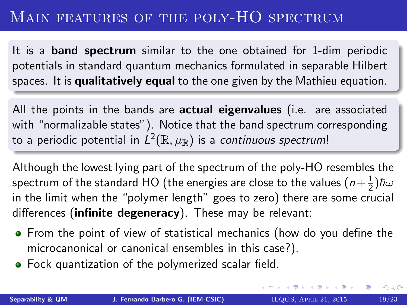### MAIN FEATURES OF THE POLY-HO SPECTRUM

It is a band spectrum similar to the one obtained for 1-dim periodic potentials in standard quantum mechanics formulated in separable Hilbert spaces. It is qualitatively equal to the one given by the Mathieu equation.

All the points in the bands are actual eigenvalues (i.e. are associated with "normalizable states"). Notice that the band spectrum corresponding to a periodic potential in  $L^2(\mathbb{R},\mu_\mathbb{R})$  is a *continuous spectrum*!

Although the lowest lying part of the spectrum of the poly-HO resembles the spectrum of the standard HO (the energies are close to the values (  $n{+}\frac12$  $\frac{1}{2}$ ) $\hbar\omega$ in the limit when the "polymer length" goes to zero) there are some crucial differences (infinite degeneracy). These may be relevant:

- From the point of view of statistical mechanics (how do you define the microcanonical or canonical ensembles in this case?).
- Fock quantization of the polymerized scalar field.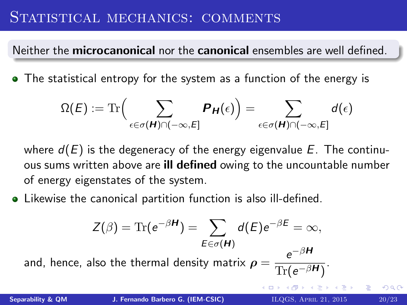### STATISTICAL MECHANICS: COMMENTS

Neither the microcanonical nor the canonical ensembles are well defined.

• The statistical entropy for the system as a function of the energy is

$$
\Omega(E) := \text{Tr}\Big(\sum_{\epsilon \in \sigma(H) \cap (-\infty, E]} P_H(\epsilon)\Big) = \sum_{\epsilon \in \sigma(H) \cap (-\infty, E]} d(\epsilon)
$$

where  $d(E)$  is the degeneracy of the energy eigenvalue E. The continuous sums written above are **ill defined** owing to the uncountable number of energy eigenstates of the system.

Likewise the canonical partition function is also ill-defined.

$$
Z(\beta) = \text{Tr}(e^{-\beta H}) = \sum_{E \in \sigma(H)} d(E)e^{-\beta E} = \infty,
$$
  
and, hence, also the thermal density matrix  $\rho = \frac{e^{-\beta H}}{\text{Tr}(e^{-\beta H})}.$   
Separability & QM  
J. Fernando Barbero G. (IEM-CSIC)  
ILQGS. APRIL 21, 2015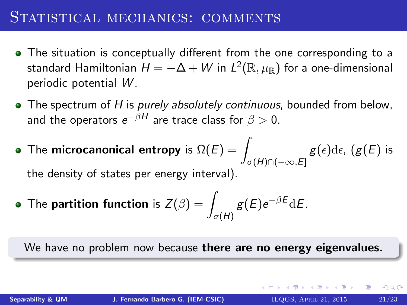### STATISTICAL MECHANICS: COMMENTS

- The situation is conceptually different from the one corresponding to a standard Hamiltonian  $H = -\Delta + W$  in  $L^2(\mathbb{R},\mu_\mathbb{R})$  for a one-dimensional periodic potential W .
- $\bullet$  The spectrum of H is purely absolutely continuous, bounded from below, and the operators  $e^{-\beta H}$  are trace class for  $\beta>0.$
- The microcanonical entropy is  $\Omega(E) = \sqrt{\frac{E}{E}}$  $\sigma(H) \cap (-\infty,E]$  $g(\epsilon)$ d $\epsilon$ ,  $(g(E)$  is the density of states per energy interval).
- The **partition function** is  $Z(\beta) = -1$  $\sigma(H)$  $g(E)e^{-\beta E}$ dE.

We have no problem now because there are no energy eigenvalues.

イロン イ団ン イミン イミン 一番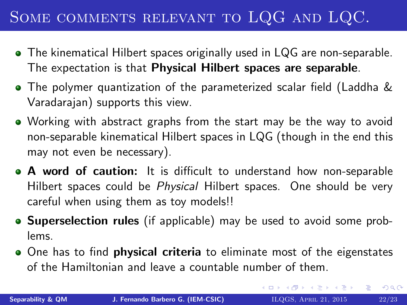# Some comments relevant to LQG and LQC.

- The kinematical Hilbert spaces originally used in LQG are non-separable. The expectation is that Physical Hilbert spaces are separable.
- The polymer quantization of the parameterized scalar field (Laddha & Varadarajan) supports this view.
- Working with abstract graphs from the start may be the way to avoid non-separable kinematical Hilbert spaces in LQG (though in the end this may not even be necessary).
- A word of caution: It is difficult to understand how non-separable Hilbert spaces could be *Physical* Hilbert spaces. One should be very careful when using them as toy models!!
- Superselection rules (if applicable) may be used to avoid some problems.
- One has to find **physical criteria** to eliminate most of the eigenstates of the Hamiltonian and leave a countable number of them.

イロン イ母ン イミン イモンニ き